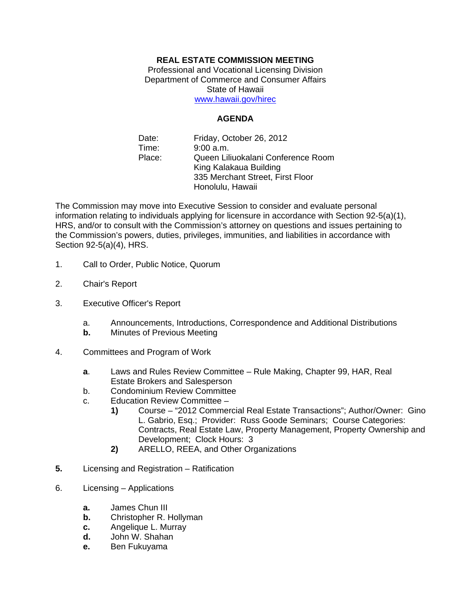## **REAL ESTATE COMMISSION MEETING**

Professional and Vocational Licensing Division Department of Commerce and Consumer Affairs State of Hawaii www.hawaii.gov/hirec

## **AGENDA**

Date: Time: Place: Friday, October 26, 2012 9:00 a.m. Queen Liliuokalani Conference Room King Kalakaua Building 335 Merchant Street, First Floor Honolulu, Hawaii

The Commission may move into Executive Session to consider and evaluate personal information relating to individuals applying for licensure in accordance with Section 92-5(a)(1), HRS, and/or to consult with the Commission's attorney on questions and issues pertaining to the Commission's powers, duties, privileges, immunities, and liabilities in accordance with Section 92-5(a)(4), HRS.

- 1. Call to Order, Public Notice, Quorum
- 2. Chair's Report
- 3. Executive Officer's Report
	- a. Announcements, Introductions, Correspondence and Additional Distributions
	- **b.** Minutes of Previous Meeting
- 4. Committees and Program of Work
	- **a**. Laws and Rules Review Committee Rule Making, Chapter 99, HAR, Real Estate Brokers and Salesperson
	- b. Condominium Review Committee
	- c. Education Review Committee
		- **1)** Course "2012 Commercial Real Estate Transactions"; Author/Owner: Gino L. Gabrio, Esq.; Provider: Russ Goode Seminars; Course Categories: Contracts, Real Estate Law, Property Management, Property Ownership and Development; Clock Hours: 3
		- **2)** ARELLO, REEA, and Other Organizations
- **5.** Licensing and Registration Ratification
- 6. Licensing Applications
	- **a.** James Chun III
	- **b.** Christopher R. Hollyman
	- **c.** Angelique L. Murray
	- **d.** John W. Shahan
	- **e.** Ben Fukuyama